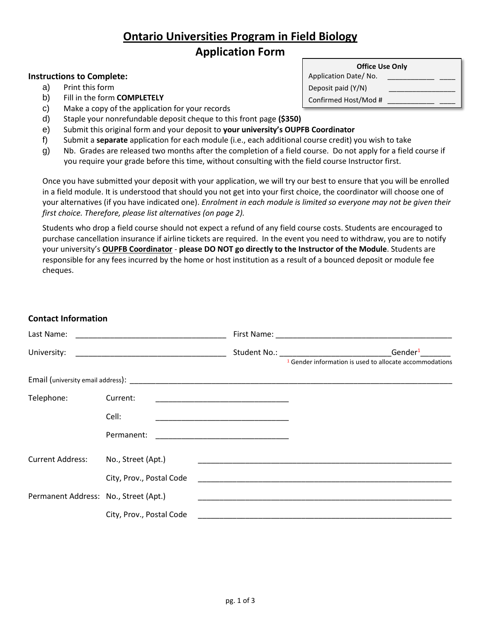# **Ontario Universities Program in Field Biology Application Form**

#### **Instructions to Complete:**

- a) Print this form
- b) Fill in the form **COMPLETELY**
- c) Make a copy of the application for your records
- d) Staple your nonrefundable deposit cheque to this front page **(\$350)**
- e) Submit this original form and your deposit to **your university's OUPFB Coordinator**
- f) Submit a **separate** application for each module (i.e., each additional course credit) you wish to take
- g) Nb. Grades are released two months after the completion of a field course. Do not apply for a field course if you require your grade before this time, without consulting with the field course Instructor first.

Once you have submitted your deposit with your application, we will try our best to ensure that you will be enrolled in a field module. It is understood that should you not get into your first choice, the coordinator will choose one of your alternatives (if you have indicated one). *Enrolment in each module is limited so everyone may not be given their first choice. Therefore, please list alternatives (on page 2).*

Students who drop a field course should not expect a refund of any field course costs. Students are encouraged to purchase cancellation insurance if airline tickets are required. In the event you need to withdraw, you are to notify your university's **OUPFB Coordinator** - **please DO NOT go directly to the Instructor of the Module**. Students are responsible for any fees incurred by the home or host institution as a result of a bounced deposit or module fee cheques.

#### **Contact Information**

| Last Name:                            |                          |                                                                                                                       |                                                                                                                                                                                                                                                                                                                             |  |  |
|---------------------------------------|--------------------------|-----------------------------------------------------------------------------------------------------------------------|-----------------------------------------------------------------------------------------------------------------------------------------------------------------------------------------------------------------------------------------------------------------------------------------------------------------------------|--|--|
| University:                           |                          |                                                                                                                       | Gender <sup>1</sup><br>Student No.: The contract of the contract of the contract of the contract of the contract of the contract of the contract of the contract of the contract of the contract of the contract of the contract of the contract of t<br><sup>1</sup> Gender information is used to allocate accommodations |  |  |
|                                       |                          |                                                                                                                       |                                                                                                                                                                                                                                                                                                                             |  |  |
| Telephone:                            | Current:                 | <u> 1989 - Johann John Stein, markin fan it ferskearre fan it ferskearre fan it ferskearre fan it ferskearre fan </u> |                                                                                                                                                                                                                                                                                                                             |  |  |
|                                       | Cell:                    | <u> 1980 - Jan James, Amerikaansk politiker (* 1901)</u>                                                              |                                                                                                                                                                                                                                                                                                                             |  |  |
|                                       | Permanent:               | <u> 1980 - Johann John Stone, mars eta biztanleria (</u>                                                              |                                                                                                                                                                                                                                                                                                                             |  |  |
| <b>Current Address:</b>               | No., Street (Apt.)       |                                                                                                                       |                                                                                                                                                                                                                                                                                                                             |  |  |
|                                       | City, Prov., Postal Code |                                                                                                                       | <u> 1989 - Johann Stein, Amerikaansk politiker (* 1958)</u>                                                                                                                                                                                                                                                                 |  |  |
| Permanent Address: No., Street (Apt.) |                          |                                                                                                                       |                                                                                                                                                                                                                                                                                                                             |  |  |
|                                       | City, Prov., Postal Code |                                                                                                                       |                                                                                                                                                                                                                                                                                                                             |  |  |

| <b>Office Use Only</b> |  |  |  |  |  |  |
|------------------------|--|--|--|--|--|--|
| Application Date/No.   |  |  |  |  |  |  |
| Deposit paid (Y/N)     |  |  |  |  |  |  |
| Confirmed Host/Mod #   |  |  |  |  |  |  |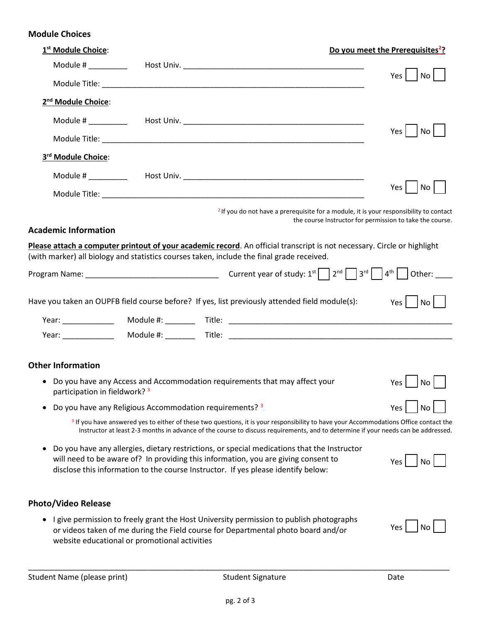### **Module Choices**

| 1 <sup>st</sup> Module Choice:                                                            |                                                         |                                                                                                                                                                                                                                                                                       | Do you meet the Prerequisites <sup>2</sup> ?             |
|-------------------------------------------------------------------------------------------|---------------------------------------------------------|---------------------------------------------------------------------------------------------------------------------------------------------------------------------------------------------------------------------------------------------------------------------------------------|----------------------------------------------------------|
|                                                                                           |                                                         |                                                                                                                                                                                                                                                                                       |                                                          |
|                                                                                           |                                                         |                                                                                                                                                                                                                                                                                       | $Yes \mid \neg No \mid$                                  |
| 2 <sup>nd</sup> Module Choice:                                                            |                                                         |                                                                                                                                                                                                                                                                                       |                                                          |
|                                                                                           |                                                         |                                                                                                                                                                                                                                                                                       |                                                          |
|                                                                                           |                                                         |                                                                                                                                                                                                                                                                                       | Yes<br>No                                                |
| 3rd Module Choice:                                                                        |                                                         |                                                                                                                                                                                                                                                                                       |                                                          |
|                                                                                           |                                                         |                                                                                                                                                                                                                                                                                       |                                                          |
|                                                                                           |                                                         |                                                                                                                                                                                                                                                                                       | No<br>Yes                                                |
| <b>Academic Information</b>                                                               |                                                         | <sup>2</sup> If you do not have a prerequisite for a module, it is your responsibility to contact                                                                                                                                                                                     | the course Instructor for permission to take the course. |
|                                                                                           |                                                         | Please attach a computer printout of your academic record. An official transcript is not necessary. Circle or highlight                                                                                                                                                               |                                                          |
| (with marker) all biology and statistics courses taken, include the final grade received. |                                                         |                                                                                                                                                                                                                                                                                       |                                                          |
|                                                                                           |                                                         |                                                                                                                                                                                                                                                                                       |                                                          |
|                                                                                           |                                                         | Have you taken an OUPFB field course before? If yes, list previously attended field module(s):                                                                                                                                                                                        | $Yes \mid \neg No \mid$                                  |
| Year: _____________                                                                       |                                                         |                                                                                                                                                                                                                                                                                       |                                                          |
|                                                                                           |                                                         |                                                                                                                                                                                                                                                                                       |                                                          |
| <b>Other Information</b>                                                                  |                                                         |                                                                                                                                                                                                                                                                                       |                                                          |
| participation in fieldwork? <sup>3</sup>                                                  |                                                         | • Do you have any Access and Accommodation requirements that may affect your                                                                                                                                                                                                          | <b>Yes</b><br>No                                         |
| $\bullet$                                                                                 | Do you have any Religious Accommodation requirements? 3 |                                                                                                                                                                                                                                                                                       | Yes                                                      |
|                                                                                           |                                                         | <sup>3</sup> If you have answered yes to either of these two questions, it is your responsibility to have your Accommodations Office contact the<br>Instructor at least 2-3 months in advance of the course to discuss requirements, and to determine if your needs can be addressed. |                                                          |
| ٠                                                                                         |                                                         | Do you have any allergies, dietary restrictions, or special medications that the Instructor<br>will need to be aware of? In providing this information, you are giving consent to<br>disclose this information to the course Instructor. If yes please identify below:                | Yes<br>Nο                                                |
| <b>Photo/Video Release</b>                                                                |                                                         |                                                                                                                                                                                                                                                                                       |                                                          |
|                                                                                           | website educational or promotional activities           | I give permission to freely grant the Host University permission to publish photographs<br>or videos taken of me during the Field course for Departmental photo board and/or                                                                                                          | Yes                                                      |

\_\_\_\_\_\_\_\_\_\_\_\_\_\_\_\_\_\_\_\_\_\_\_\_\_\_\_\_\_\_\_\_\_\_\_\_\_\_\_\_\_\_\_\_\_\_\_\_\_\_\_\_\_\_\_\_\_\_\_\_\_\_\_\_\_\_\_\_\_\_\_\_\_\_\_\_\_\_\_\_\_\_\_\_\_\_\_\_\_\_\_\_\_\_\_\_\_\_